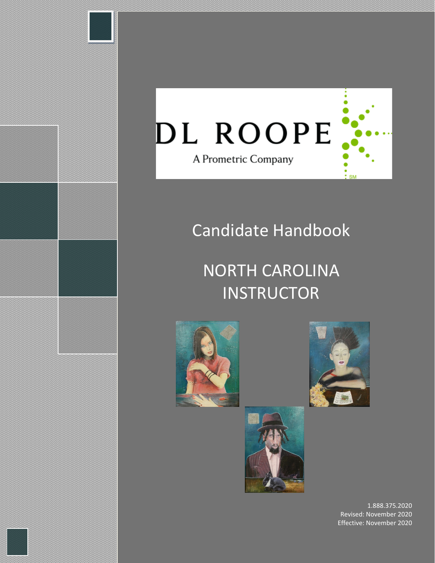

# Candidate Handbook

# NORTH CAROLINA **INSTRUCTOR**







1.888.375.2020 Revised: November 2020 Effective: November 2020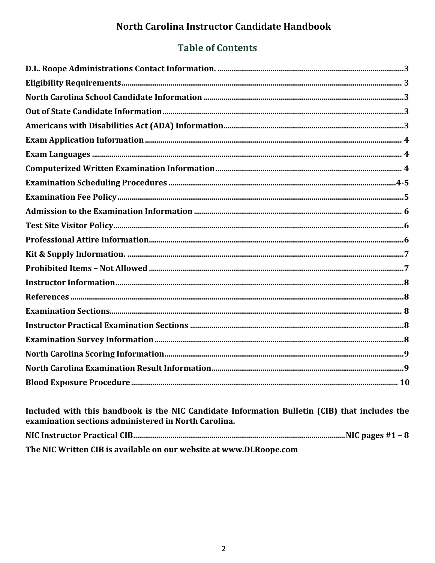# North Carolina Instructor Candidate Handbook

# **Table of Contents**

Included with this handbook is the NIC Candidate Information Bulletin (CIB) that includes the examination sections administered in North Carolina. The NIC Written CIB is available on our website at www.DLRoope.com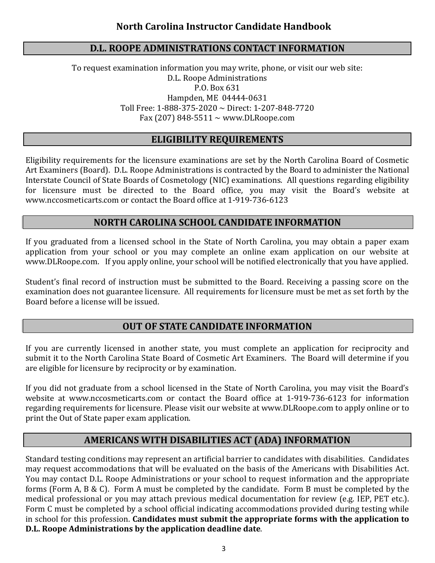## **D.L. ROOPE ADMINISTRATIONS CONTACT INFORMATION**

To request examination information you may write, phone, or visit our web site: D.L. Roope Administrations P.O. Box 631 Hampden, ME 04444-0631 Toll Free: 1-888-375-2020 ~ Direct: 1-207-848-7720 Fax (207) 848-5511  $\sim$  www.DLRoope.com

# **ELIGIBILITY REQUIREMENTS**

Eligibility requirements for the licensure examinations are set by the North Carolina Board of Cosmetic Art Examiners (Board). D.L. Roope Administrations is contracted by the Board to administer the National Interstate Council of State Boards of Cosmetology (NIC) examinations. All questions regarding eligibility for licensure must be directed to the Board office, you may visit the Board's website at [www.nccosmeticarts.com](http://www.nccosmeticarts.com/) or contact the Board office at 1-919-736-6123

# **NORTH CAROLINA SCHOOL CANDIDATE INFORMATION**

If you graduated from a licensed school in the State of North Carolina, you may obtain a paper exam application from your school or you may complete an online exam application on our website at www.DLRoope.com. If you apply online, your school will be notified electronically that you have applied.

Student's final record of instruction must be submitted to the Board. Receiving a passing score on the examination does not guarantee licensure. All requirements for licensure must be met as set forth by the Board before a license will be issued.

#### **OUT OF STATE CANDIDATE INFORMATION**

If you are currently licensed in another state, you must complete an application for reciprocity and submit it to the North Carolina State Board of Cosmetic Art Examiners. The Board will determine if you are eligible for licensure by reciprocity or by examination.

If you did not graduate from a school licensed in the State of North Carolina, you may visit the Board's website at [www.nccosmeticarts.com](http://www.nccosmeticarts.com/) or contact the Board office at 1-919-736-6123 for information regarding requirements for licensure. Please visit our website at [www.DLRoope.com](http://www.dlroope.com/) to apply online or to print the Out of State paper exam application.

# **AMERICANS WITH DISABILITIES ACT (ADA) INFORMATION**

Standard testing conditions may represent an artificial barrier to candidates with disabilities. Candidates may request accommodations that will be evaluated on the basis of the Americans with Disabilities Act. You may contact D.L. Roope Administrations or your school to request information and the appropriate forms (Form A, B & C). Form A must be completed by the candidate. Form B must be completed by the medical professional or you may attach previous medical documentation for review (e.g. IEP, PET etc.). Form C must be completed by a school official indicating accommodations provided during testing while in school for this profession. **Candidates must submit the appropriate forms with the application to D.L. Roope Administrations by the application deadline date**.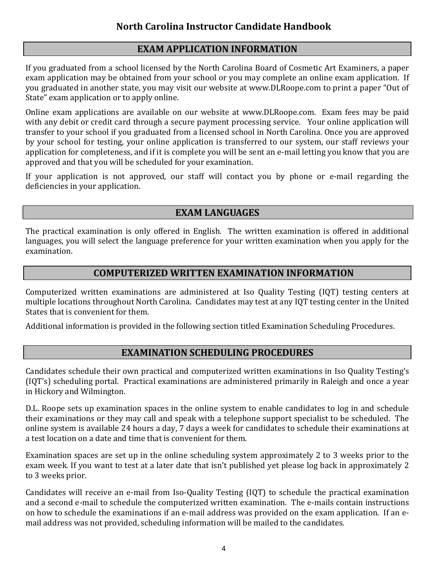# **EXAM APPLICATION INFORMATION**

If you graduated from a school licensed by the North Carolina Board of Cosmetic Art Examiners, a paper exam application may be obtained from your school or you may complete an online exam application. If you graduated in another state, you may visit our website at [www.DLRoope.com](http://www.dlroope.com/) to print a paper "Out of State" exam application or to apply online.

Online exam applications are available on our website at [www.DLRoope.com.](http://www.dlroope.com/) Exam fees may be paid with any debit or credit card through a secure payment processing service. Your online application will transfer to your school if you graduated from a licensed school in North Carolina. Once you are approved by your school for testing, your online application is transferred to our system, our staff reviews your application for completeness, and if it is complete you will be sent an e-mail letting you know that you are approved and that you will be scheduled for your examination.

If your application is not approved, our staff will contact you by phone or e-mail regarding the deficiencies in your application.

# **EXAM LANGUAGES**

The practical examination is only offered in English. The written examination is offered in additional languages, you will select the language preference for your written examination when you apply for the examination.

# **COMPUTERIZED WRITTEN EXAMINATION INFORMATION**

Computerized written examinations are administered at Iso Quality Testing (IQT) testing centers at multiple locations throughout North Carolina. Candidates may test at any IQT testing center in the United States that is convenient for them.

Additional information is provided in the following section titled Examination Scheduling Procedures.

# **EXAMINATION SCHEDULING PROCEDURES**

Candidates schedule their own practical and computerized written examinations in Iso Quality Testing's (IQT's) scheduling portal. Practical examinations are administered primarily in Raleigh and once a year in Hickory and Wilmington.

D.L. Roope sets up examination spaces in the online system to enable candidates to log in and schedule their examinations or they may call and speak with a telephone support specialist to be scheduled. The online system is available 24 hours a day, 7 days a week for candidates to schedule their examinations at a test location on a date and time that is convenient for them.

Examination spaces are set up in the online scheduling system approximately 2 to 3 weeks prior to the exam week. If you want to test at a later date that isn't published yet please log back in approximately 2 to 3 weeks prior.

Candidates will receive an e-mail from Iso-Quality Testing (IQT) to schedule the practical examination and a second e-mail to schedule the computerized written examination. The e-mails contain instructions on how to schedule the examinations if an e-mail address was provided on the exam application. If an email address was not provided, scheduling information will be mailed to the candidates.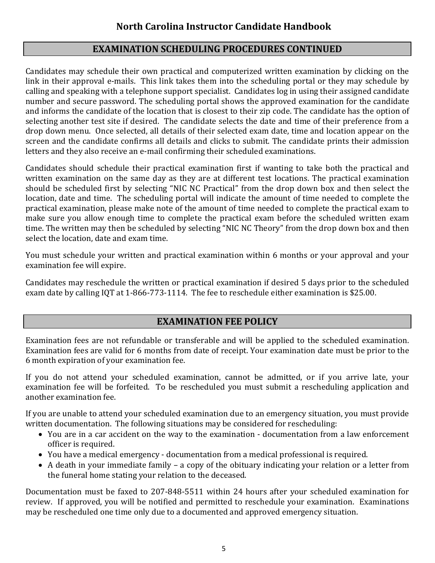# **EXAMINATION SCHEDULING PROCEDURES CONTINUED**

Candidates may schedule their own practical and computerized written examination by clicking on the link in their approval e-mails. This link takes them into the scheduling portal or they may schedule by calling and speaking with a telephone support specialist. Candidates log in using their assigned candidate number and secure password. The scheduling portal shows the approved examination for the candidate and informs the candidate of the location that is closest to their zip code. The candidate has the option of selecting another test site if desired. The candidate selects the date and time of their preference from a drop down menu. Once selected, all details of their selected exam date, time and location appear on the screen and the candidate confirms all details and clicks to submit. The candidate prints their admission letters and they also receive an e-mail confirming their scheduled examinations.

Candidates should schedule their practical examination first if wanting to take both the practical and written examination on the same day as they are at different test locations. The practical examination should be scheduled first by selecting "NIC NC Practical" from the drop down box and then select the location, date and time. The scheduling portal will indicate the amount of time needed to complete the practical examination, please make note of the amount of time needed to complete the practical exam to make sure you allow enough time to complete the practical exam before the scheduled written exam time. The written may then be scheduled by selecting "NIC NC Theory" from the drop down box and then select the location, date and exam time.

You must schedule your written and practical examination within 6 months or your approval and your examination fee will expire.

Candidates may reschedule the written or practical examination if desired 5 days prior to the scheduled exam date by calling IQT at 1-866-773-1114. The fee to reschedule either examination is \$25.00.

# **EXAMINATION FEE POLICY**

Examination fees are not refundable or transferable and will be applied to the scheduled examination. Examination fees are valid for 6 months from date of receipt. Your examination date must be prior to the 6 month expiration of your examination fee.

If you do not attend your scheduled examination, cannot be admitted, or if you arrive late, your examination fee will be forfeited. To be rescheduled you must submit a rescheduling application and another examination fee.

If you are unable to attend your scheduled examination due to an emergency situation, you must provide written documentation. The following situations may be considered for rescheduling:

- You are in a car accident on the way to the examination documentation from a law enforcement officer is required.
- You have a medical emergency documentation from a medical professional is required.
- A death in your immediate family a copy of the obituary indicating your relation or a letter from the funeral home stating your relation to the deceased.

Documentation must be faxed to 207-848-5511 within 24 hours after your scheduled examination for review. If approved, you will be notified and permitted to reschedule your examination. Examinations may be rescheduled one time only due to a documented and approved emergency situation.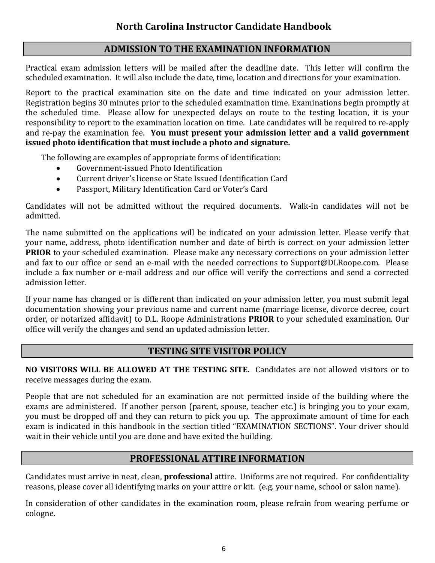# **ADMISSION TO THE EXAMINATION INFORMATION**

 Practical exam admission letters will be mailed after the deadline date. This letter will confirm the scheduled examination. It will also include the date, time, location and directions for your examination.

Report to the practical examination site on the date and time indicated on your admission letter. Registration begins 30 minutes prior to the scheduled examination time. Examinations begin promptly at the scheduled time. Please allow for unexpected delays on route to the testing location, it is your responsibility to report to the examination location on time. Late candidates will be required to re-apply and re-pay the examination fee. **You must present your admission letter and a valid government issued photo identification that must include a photo and signature.** 

The following are examples of appropriate forms of identification:

- Government-issued Photo Identification
- Current driver's license or State Issued Identification Card
- Passport, Military Identification Card or Voter's Card

Candidates will not be admitted without the required documents. Walk-in candidates will not be admitted.

The name submitted on the applications will be indicated on your admission letter. Please verify that your name, address, photo identification number and date of birth is correct on your admission letter **PRIOR** to your scheduled examination. Please make any necessary corrections on your admission letter and fax to our office or send an e-mail with the needed corrections to Support@DLRoope.com. Please include a fax number or e-mail address and our office will verify the corrections and send a corrected admission letter.

If your name has changed or is different than indicated on your admission letter, you must submit legal documentation showing your previous name and current name (marriage license, divorce decree, court order, or notarized affidavit) to D.L. Roope Administrations **PRIOR** to your scheduled examination. Our office will verify the changes and send an updated admission letter.

# **TESTING SITE VISITOR POLICY**

**NO VISITORS WILL BE ALLOWED AT THE TESTING SITE.** Candidates are not allowed visitors or to receive messages during the exam.

People that are not scheduled for an examination are not permitted inside of the building where the exams are administered. If another person (parent, spouse, teacher etc.) is bringing you to your exam, you must be dropped off and they can return to pick you up. The approximate amount of time for each exam is indicated in this handbook in the section titled "EXAMINATION SECTIONS". Your driver should wait in their vehicle until you are done and have exited the building.

# **PROFESSIONAL ATTIRE INFORMATION**

Candidates must arrive in neat, clean, **professional** attire. Uniforms are not required. For confidentiality reasons, please cover all identifying marks on your attire or kit. (e.g. your name, school or salon name).

In consideration of other candidates in the examination room, please refrain from wearing perfume or cologne.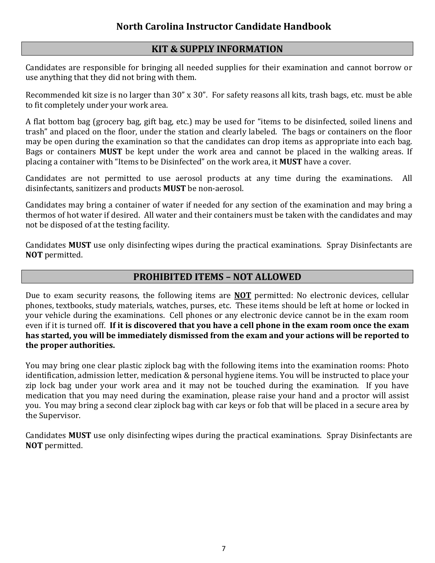## **KIT & SUPPLY INFORMATION**

Candidates are responsible for bringing all needed supplies for their examination and cannot borrow or use anything that they did not bring with them.

Recommended kit size is no larger than 30" x 30". For safety reasons all kits, trash bags, etc. must be able to fit completely under your work area.

A flat bottom bag (grocery bag, gift bag, etc.) may be used for "items to be disinfected, soiled linens and trash" and placed on the floor, under the station and clearly labeled. The bags or containers on the floor may be open during the examination so that the candidates can drop items as appropriate into each bag. Bags or containers **MUST** be kept under the work area and cannot be placed in the walking areas. If placing a container with "Items to be Disinfected" on the work area, it **MUST** have a cover.

Candidates are not permitted to use aerosol products at any time during the examinations. All disinfectants, sanitizers and products **MUST** be non-aerosol.

Candidates may bring a container of water if needed for any section of the examination and may bring a thermos of hot water if desired. All water and their containers must be taken with the candidates and may not be disposed of at the testing facility.

Candidates **MUST** use only disinfecting wipes during the practical examinations. Spray Disinfectants are **NOT** permitted.

## **PROHIBITED ITEMS – NOT ALLOWED**

Due to exam security reasons, the following items are **NOT** permitted: No electronic devices, cellular phones, textbooks, study materials, watches, purses, etc. These items should be left at home or locked in your vehicle during the examinations. Cell phones or any electronic device cannot be in the exam room even if it is turned off. **If it is discovered that you have a cell phone in the exam room once the exam has started, you will be immediately dismissed from the exam and your actions will be reported to the proper authorities.** 

You may bring one clear plastic ziplock bag with the following items into the examination rooms: Photo identification, admission letter, medication & personal hygiene items. You will be instructed to place your zip lock bag under your work area and it may not be touched during the examination. If you have medication that you may need during the examination, please raise your hand and a proctor will assist you. You may bring a second clear ziplock bag with car keys or fob that will be placed in a secure area by the Supervisor.

Candidates **MUST** use only disinfecting wipes during the practical examinations. Spray Disinfectants are **NOT** permitted.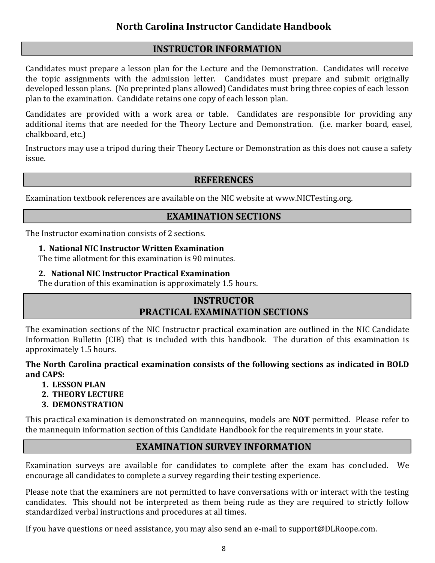# **INSTRUCTOR INFORMATION**

Candidates must prepare a lesson plan for the Lecture and the Demonstration. Candidates will receive the topic assignments with the admission letter. Candidates must prepare and submit originally developed lesson plans. (No preprinted plans allowed) Candidates must bring three copies of each lesson plan to the examination. Candidate retains one copy of each lesson plan.

Candidates are provided with a work area or table. Candidates are responsible for providing any additional items that are needed for the Theory Lecture and Demonstration. (i.e. marker board, easel, chalkboard, etc.)

Instructors may use a tripod during their Theory Lecture or Demonstration as this does not cause a safety issue.

## **REFERENCES**

Examination textbook references are available on the NIC website at www.NICTesting.org.

# **EXAMINATION SECTIONS**

The Instructor examination consists of 2 sections.

#### **1. National NIC Instructor Written Examination**

The time allotment for this examination is 90 minutes.

#### **2. National NIC Instructor Practical Examination**

The duration of this examination is approximately 1.5 hours.

# **INSTRUCTOR PRACTICAL EXAMINATION SECTIONS**

The examination sections of the NIC Instructor practical examination are outlined in the NIC Candidate Information Bulletin (CIB) that is included with this handbook. The duration of this examination is approximately 1.5 hours.

**The North Carolina practical examination consists of the following sections as indicated in BOLD and CAPS:**

- **1. LESSON PLAN**
- **2. THEORY LECTURE**
- **3. DEMONSTRATION**

This practical examination is demonstrated on mannequins, models are **NOT** permitted. Please refer to the mannequin information section of this Candidate Handbook for the requirements in your state.

# **EXAMINATION SURVEY INFORMATION**

Examination surveys are available for candidates to complete after the exam has concluded. We encourage all candidates to complete a survey regarding their testing experience.

Please note that the examiners are not permitted to have conversations with or interact with the testing candidates. This should not be interpreted as them being rude as they are required to strictly follow standardized verbal instructions and procedures at all times.

If you have questions or need assistance, you may also send an e-mail to [support@DLRoope.com.](mailto:support@DLRoope.com)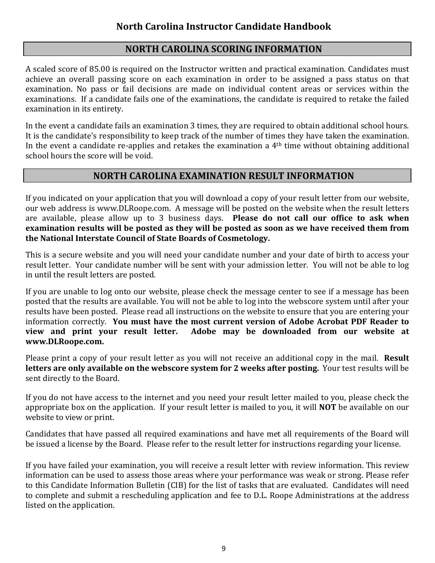# **NORTH CAROLINA SCORING INFORMATION**

A scaled score of 85.00 is required on the Instructor written and practical examination. Candidates must achieve an overall passing score on each examination in order to be assigned a pass status on that examination. No pass or fail decisions are made on individual content areas or services within the examinations. If a candidate fails one of the examinations, the candidate is required to retake the failed examination in its entirety.

In the event a candidate fails an examination 3 times, they are required to obtain additional school hours. It is the candidate's responsibility to keep track of the number of times they have taken the examination. In the event a candidate re-applies and retakes the examination a 4th time without obtaining additional school hours the score will be void.

# **NORTH CAROLINA EXAMINATION RESULT INFORMATION**

If you indicated on your application that you will download a copy of your result letter from our website, our web address is [www.DLRoope.com.](http://www.dlroope.com/) A message will be posted on the website when the result letters are available, please allow up to 3 business days. **Please do not call our office to ask when examination results will be posted as they will be posted as soon as we have received them from the National Interstate Council of State Boards of Cosmetology.**

This is a secure website and you will need your candidate number and your date of birth to access your result letter. Your candidate number will be sent with your admission letter. You will not be able to log in until the result letters are posted.

If you are unable to log onto our website, please check the message center to see if a message has been posted that the results are available. You will not be able to log into the webscore system until after your results have been posted. Please read all instructions on the website to ensure that you are entering your information correctly. **You must have the most current version of Adobe Acrobat PDF Reader to**  Adobe may be downloaded from our website at **[www.DLRoope.com.](http://www.dlroope.com/)** 

Please print a copy of your result letter as you will not receive an additional copy in the mail. **Result letters are only available on the webscore system for 2 weeks after posting.** Your test results will be sent directly to the Board.

If you do not have access to the internet and you need your result letter mailed to you, please check the appropriate box on the application. If your result letter is mailed to you, it will **NOT** be available on our website to view or print.

Candidates that have passed all required examinations and have met all requirements of the Board will be issued a license by the Board. Please refer to the result letter for instructions regarding your license.

If you have failed your examination, you will receive a result letter with review information. This review information can be used to assess those areas where your performance was weak or strong. Please refer to this Candidate Information Bulletin (CIB) for the list of tasks that are evaluated. Candidates will need to complete and submit a rescheduling application and fee to D.L. Roope Administrations at the address listed on the application.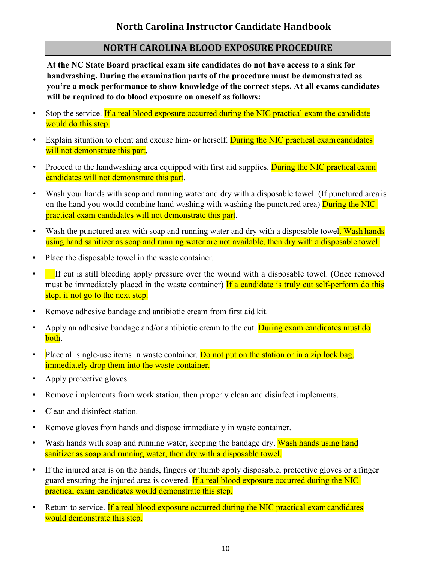# **NORTH CAROLINA BLOOD EXPOSURE PROCEDURE**

**At the NC State Board practical exam site candidates do not have access to a sink for handwashing. During the examination parts of the procedure must be demonstrated as you're a mock performance to show knowledge of the correct steps. At all exams candidates will be required to do blood exposure on oneself as follows:** 

- Stop the service. If a real blood exposure occurred during the NIC practical exam the candidate would do this step.
- Explain situation to client and excuse him- or herself. During the NIC practical exam candidates will not demonstrate this part.
- Proceed to the handwashing area equipped with first aid supplies. During the NIC practical exam candidates will not demonstrate this part.
- Wash your hands with soap and running water and dry with a disposable towel. (If punctured area is on the hand you would combine hand washing with washing the punctured area) **During the NIC** practical exam candidates will not demonstrate this part.
- Wash the punctured area with soap and running water and dry with a disposable towel. Wash hands using hand sanitizer as soap and running water are not available, then dry with a disposable towel.
- Place the disposable towel in the waste container.
- If cut is still bleeding apply pressure over the wound with a disposable towel. (Once removed must be immediately placed in the waste container) If a candidate is truly cut self-perform do this step, if not go to the next step.
- Remove adhesive bandage and antibiotic cream from first aid kit.
- Apply an adhesive bandage and/or antibiotic cream to the cut. During exam candidates must do both.
- Place all single-use items in waste container. Do not put on the station or in a zip lock bag, immediately drop them into the waste container.
- Apply protective gloves
- Remove implements from work station, then properly clean and disinfect implements.
- Clean and disinfect station.
- Remove gloves from hands and dispose immediately in waste container.
- Wash hands with soap and running water, keeping the bandage dry. Wash hands using hand sanitizer as soap and running water, then dry with a disposable towel.
- If the injured area is on the hands, fingers or thumb apply disposable, protective gloves or a finger guard ensuring the injured area is covered. If a real blood exposure occurred during the NIC practical exam candidates would demonstrate this step.
- Return to service. If a real blood exposure occurred during the NIC practical exam candidates would demonstrate this step.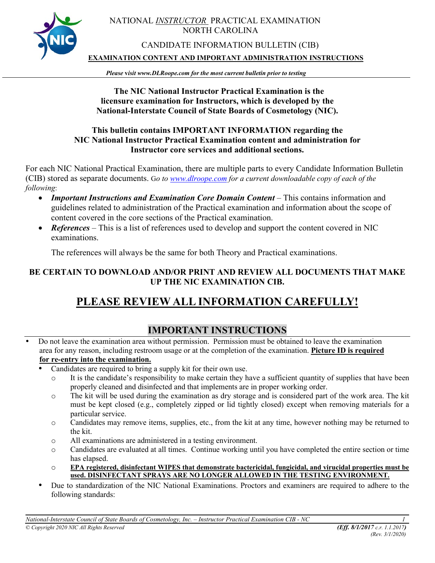

#### NATIONAL *INSTRUCTOR* PRACTICAL EXAMINATION NORTH CAROLINA

#### CANDIDATE INFORMATION BULLETIN (CIB)

**EXAMINATION CONTENT AND IMPORTANT ADMINISTRATION INSTRUCTIONS**

*Please* **v***isit www.DLRoope.com for the most current bulletin prior to testing*

#### **The NIC National Instructor Practical Examination is the licensure examination for Instructors, which is developed by the National-Interstate Council of State Boards of Cosmetology (NIC).**

#### **This bulletin contains IMPORTANT INFORMATION regarding the NIC National Instructor Practical Examination content and administration for Instructor core services and additional sections.**

For each NIC National Practical Examination, there are multiple parts to every Candidate Information Bulletin (CIB) stored as separate documents. G*o to [www.dlroope.com](http://www.dlroope.com/) for a current downloadable copy of each of the following*:

- *Important Instructions and Examination Core Domain Content* This contains information and guidelines related to administration of the Practical examination and information about the scope of content covered in the core sections of the Practical examination.
- *References* This is a list of references used to develop and support the content covered in NIC examinations.

The references will always be the same for both Theory and Practical examinations.

#### **BE CERTAIN TO DOWNLOAD AND/OR PRINT AND REVIEW ALL DOCUMENTS THAT MAKE UP THE NIC EXAMINATION CIB.**

# **PLEASE REVIEW ALL INFORMATION CAREFULLY!**

# **IMPORTANT INSTRUCTIONS**

- Do not leave the examination area without permission. Permission must be obtained to leave the examination area for any reason, including restroom usage or at the completion of the examination. **Picture ID is required for re-entry into the examination.**
	- Candidates are required to bring a supply kit for their own use.
		- $\circ$  It is the candidate's responsibility to make certain they have a sufficient quantity of supplies that have been properly cleaned and disinfected and that implements are in proper working order.
		- o The kit will be used during the examination as dry storage and is considered part of the work area. The kit must be kept closed (e.g., completely zipped or lid tightly closed) except when removing materials for a particular service.
		- o Candidates may remove items, supplies, etc., from the kit at any time, however nothing may be returned to the kit.
		- o All examinations are administered in a testing environment.
		- o Candidates are evaluated at all times. Continue working until you have completed the entire section or time has elapsed.
		- o **EPA registered, disinfectant WIPES that demonstrate bactericidal, fungicidal, and virucidal properties must be used. DISINFECTANT SPRAYS ARE NO LONGER ALLOWED IN THE TESTING ENVIRONMENT.**
	- Due to standardization of the NIC National Examinations. Proctors and examiners are required to adhere to the following standards:

*National-Interstate Council of State Boards of Cosmetology, Inc. – Instructor Practical Examination CIB - NC 1 © Copyright 2020 NIC All Rights Reserved (Eff. 8/1/2017 c.r. 1.1.2017)*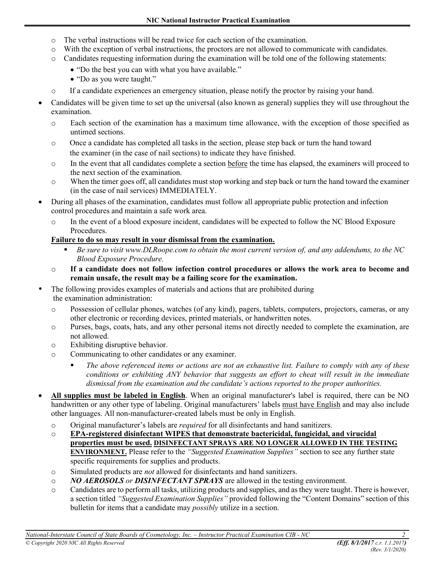- o The verbal instructions will be read twice for each section of the examination.
- o With the exception of verbal instructions, the proctors are not allowed to communicate with candidates.
- o Candidates requesting information during the examination will be told one of the following statements:
	- "Do the best you can with what you have available."
	- "Do as you were taught."
- o If a candidate experiences an emergency situation, please notify the proctor by raising your hand.
- Candidates will be given time to set up the universal (also known as general) supplies they will use throughout the examination.
	- o Each section of the examination has a maximum time allowance, with the exception of those specified as untimed sections.
	- o Once a candidate has completed all tasks in the section, please step back or turn the hand toward the examiner (in the case of nail sections) to indicate they have finished.
	- o In the event that all candidates complete a section before the time has elapsed, the examiners will proceed to the next section of the examination.
	- o When the timer goes off, all candidates must stop working and step back or turn the hand toward the examiner (in the case of nail services) IMMEDIATELY.
- During all phases of the examination, candidates must follow all appropriate public protection and infection control procedures and maintain a safe work area.
	- o In the event of a blood exposure incident, candidates will be expected to follow the NC Blood Exposure Procedures.

#### **Failure to do so may result in your dismissal from the examination.**

- *Be sure to visit www.DLRoope.com to obtain the most current version of, and any addendums, to the NC Blood Exposure Procedure.*
- o **If a candidate does not follow infection control procedures or allows the work area to become and remain unsafe, the result may be a failing score for the examination.**
- The following provides examples of materials and actions that are prohibited during the examination administration:
	- o Possession of cellular phones, watches (of any kind), pagers, tablets, computers, projectors, cameras, or any other electronic or recording devices, printed materials, or handwritten notes.
	- o Purses, bags, coats, hats, and any other personal items not directly needed to complete the examination, are not allowed.
	- o Exhibiting disruptive behavior.
	- o Communicating to other candidates or any examiner.
		- *The above referenced items or actions are not an exhaustive list. Failure to comply with any of these conditions or exhibiting ANY behavior that suggests an effort to cheat will result in the immediate dismissal from the examination and the candidate's actions reported to the proper authorities.*
- **All supplies must be labeled in English**. When an original manufacturer's label is required, there can be NO handwritten or any other type of labeling. Original manufacturers' labels must have English and may also include other languages. All non-manufacturer-created labels must be only in English.
	- o Original manufacturer's labels are *required* for all disinfectants and hand sanitizers.
	- o **EPA-registered disinfectant WIPES that demonstrate bactericidal, fungicidal, and virucidal properties must be used. DISINFECTANT SPRAYS ARE NO LONGER ALLOWED IN THE TESTING ENVIRONMENT.** Please refer to the *"Suggested Examination Supplies"* section to see any further state specific requirements for supplies and products.
	- o Simulated products are *not* allowed for disinfectants and hand sanitizers.
	- o *NO AEROSOLS or DISINFECTANT SPRAYS* are allowed in the testing environment.
	- o Candidates are to perform all tasks, utilizing products and supplies, and as they were taught. There is however, a section titled *"Suggested Examination Supplies"* provided following the "Content Domains" section of this bulletin for items that a candidate may *possibly* utilize in a section.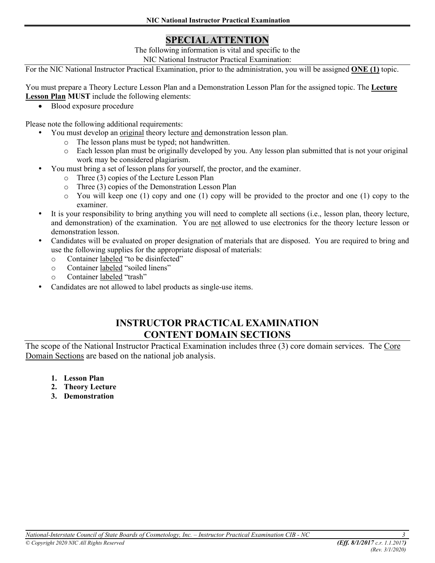# **SPECIAL ATTENTION**

The following information is vital and specific to the NIC National Instructor Practical Examination:

For the NIC National Instructor Practical Examination, prior to the administration, you will be assigned **ONE (1)** topic.

You must prepare a Theory Lecture Lesson Plan and a Demonstration Lesson Plan for the assigned topic. The **Lecture Lesson Plan MUST** include the following elements:

• Blood exposure procedure

Please note the following additional requirements:

- You must develop an original theory lecture and demonstration lesson plan.
	- o The lesson plans must be typed; not handwritten.
	- o Each lesson plan must be originally developed by you. Any lesson plan submitted that is not your original work may be considered plagiarism.
- You must bring a set of lesson plans for yourself, the proctor, and the examiner.
	- o Three (3) copies of the Lecture Lesson Plan
	- o Three (3) copies of the Demonstration Lesson Plan
	- o You will keep one (1) copy and one (1) copy will be provided to the proctor and one (1) copy to the examiner.
- It is your responsibility to bring anything you will need to complete all sections (i.e., lesson plan, theory lecture, and demonstration) of the examination. You are not allowed to use electronics for the theory lecture lesson or demonstration lesson.
- Candidates will be evaluated on proper designation of materials that are disposed. You are required to bring and use the following supplies for the appropriate disposal of materials:
	- o Container labeled "to be disinfected"
	- o Container labeled "soiled linens"
	- o Container labeled "trash"
- Candidates are not allowed to label products as single-use items.

# **INSTRUCTOR PRACTICAL EXAMINATION CONTENT DOMAIN SECTIONS**

The scope of the National Instructor Practical Examination includes three (3) core domain services. The Core Domain Sections are based on the national job analysis.

- **1. Lesson Plan**
- **2. Theory Lecture**
- **3. Demonstration**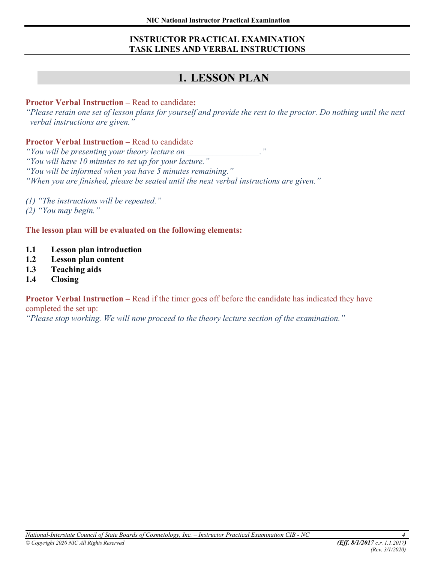#### **INSTRUCTOR PRACTICAL EXAMINATION TASK LINES AND VERBAL INSTRUCTIONS**

# **1. LESSON PLAN**

#### **Proctor Verbal Instruction –** Read to candidate**:**

*"Please retain one set of lesson plans for yourself and provide the rest to the proctor. Do nothing until the next verbal instructions are given."*

#### **Proctor Verbal Instruction –** Read to candidate

*"You will be presenting your theory lecture on \_\_\_\_\_\_\_\_\_\_\_\_\_\_\_\_\_."*

*"You will have 10 minutes to set up for your lecture."*

*"You will be informed when you have 5 minutes remaining."* 

*"When you are finished, please be seated until the next verbal instructions are given."*

*(1) "The instructions will be repeated."* 

*(2) "You may begin."*

**The lesson plan will be evaluated on the following elements:**

- **1.1 Lesson plan introduction**
- **1.2 Lesson plan content**
- **1.3 Teaching aids**
- **1.4 Closing**

**Proctor Verbal Instruction** – Read if the timer goes off before the candidate has indicated they have completed the set up:

*"Please stop working. We will now proceed to the theory lecture section of the examination."*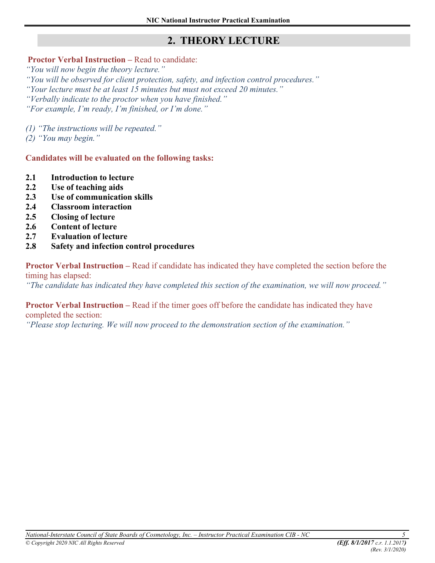# **2. THEORY LECTURE**

#### **Proctor Verbal Instruction – Read to candidate:**

*"You will now begin the theory lecture."* 

*"You will be observed for client protection, safety, and infection control procedures." "Your lecture must be at least 15 minutes but must not exceed 20 minutes." "Verbally indicate to the proctor when you have finished."* 

*"For example, I'm ready, I'm finished, or I'm done."* 

*(1) "The instructions will be repeated."*

*(2) "You may begin."*

**Candidates will be evaluated on the following tasks:** 

- **2.1 Introduction to lecture**
- **2.2 Use of teaching aids**
- **2.3 Use of communication skills**
- **2.4 Classroom interaction**
- **2.5 Closing of lecture**
- **2.6 Content of lecture**
- **2.7 Evaluation of lecture**
- **2.8 Safety and infection control procedures**

**Proctor Verbal Instruction –** Read if candidate has indicated they have completed the section before the timing has elapsed:

*"The candidate has indicated they have completed this section of the examination, we will now proceed."* 

**Proctor Verbal Instruction – Read if the timer goes off before the candidate has indicated they have** 

completed the section:

*"Please stop lecturing. We will now proceed to the demonstration section of the examination."*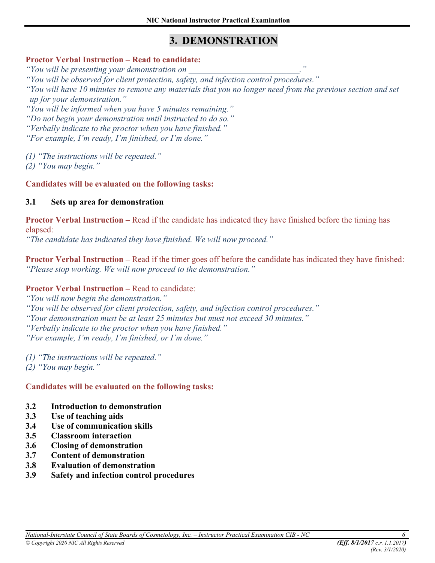# **3. DEMONSTRATION**

#### **Proctor Verbal Instruction – Read to candidate:**

*"You will be presenting your demonstration on \_\_\_\_\_\_\_\_\_\_\_\_\_\_\_\_\_\_\_\_\_\_\_\_\_\_."* 

*"You will be observed for client protection, safety, and infection control procedures."* 

*"You will have 10 minutes to remove any materials that you no longer need from the previous section and set up for your demonstration."* 

*"You will be informed when you have 5 minutes remaining."* 

*"Do not begin your demonstration until instructed to do so."* 

*"Verbally indicate to the proctor when you have finished."* 

*"For example, I'm ready, I'm finished, or I'm done."* 

*(1) "The instructions will be repeated."*

*(2) "You may begin."*

**Candidates will be evaluated on the following tasks:** 

#### **3.1 Sets up area for demonstration**

**Proctor Verbal Instruction** – Read if the candidate has indicated they have finished before the timing has elapsed:

*"The candidate has indicated they have finished. We will now proceed."* 

**Proctor Verbal Instruction** – Read if the timer goes off before the candidate has indicated they have finished: *"Please stop working. We will now proceed to the demonstration."*

#### **Proctor Verbal Instruction –** Read to candidate:

*"You will now begin the demonstration."* 

*"You will be observed for client protection, safety, and infection control procedures."* 

*"Your demonstration must be at least 25 minutes but must not exceed 30 minutes."* 

*"Verbally indicate to the proctor when you have finished."* 

*"For example, I'm ready, I'm finished, or I'm done."* 

*(1) "The instructions will be repeated."*

*(2) "You may begin."*

#### **Candidates will be evaluated on the following tasks:**

#### **3.2 Introduction to demonstration**

- **3.3 Use of teaching aids**
- **3.4 Use of communication skills**
- **3.5 Classroom interaction**
- **3.6 Closing of demonstration**
- **3.7 Content of demonstration**
- **3.8 Evaluation of demonstration**
- **3.9 Safety and infection control procedures**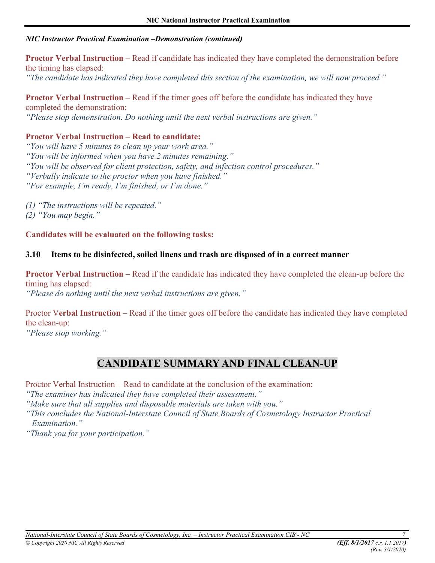#### *NIC Instructor Practical Examination –Demonstration (continued)*

**Proctor Verbal Instruction –** Read if candidate has indicated they have completed the demonstration before the timing has elapsed: *"The candidate has indicated they have completed this section of the examination, we will now proceed."* 

**Proctor Verbal Instruction** – Read if the timer goes off before the candidate has indicated they have completed the demonstration: *"Please stop demonstration. Do nothing until the next verbal instructions are given."* 

### **Proctor Verbal Instruction – Read to candidate:**

*"You will have 5 minutes to clean up your work area." "You will be informed when you have 2 minutes remaining." "You will be observed for client protection, safety, and infection control procedures." "Verbally indicate to the proctor when you have finished."* 

*"For example, I'm ready, I'm finished, or I'm done."* 

*(1) "The instructions will be repeated."*

*(2) "You may begin."*

**Candidates will be evaluated on the following tasks:** 

#### **3.10 Items to be disinfected, soiled linens and trash are disposed of in a correct manner**

**Proctor Verbal Instruction** – Read if the candidate has indicated they have completed the clean-up before the timing has elapsed: *"Please do nothing until the next verbal instructions are given."* 

Proctor V**erbal Instruction –** Read if the timer goes off before the candidate has indicated they have completed the clean-up:

*"Please stop working."* 

# **CANDIDATE SUMMARY AND FINAL CLEAN-UP**

Proctor Verbal Instruction – Read to candidate at the conclusion of the examination:

*"The examiner has indicated they have completed their assessment."* 

*"Make sure that all supplies and disposable materials are taken with you."* 

*"This concludes the National-Interstate Council of State Boards of Cosmetology Instructor Practical Examination."* 

*"Thank you for your participation."*